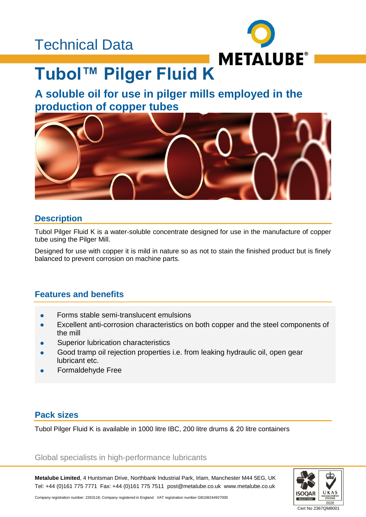## Technical Data



# **Tubol™ Pilger Fluid K**

## **A soluble oil for use in pilger mills employed in the production of copper tubes**



## **Description**

Tubol Pilger Fluid K is a water-soluble concentrate designed for use in the manufacture of copper tube using the Pilger Mill.

Designed for use with copper it is mild in nature so as not to stain the finished product but is finely balanced to prevent corrosion on machine parts.

## **Features and benefits**

- Forms stable semi-translucent emulsions
- Excellent anti-corrosion characteristics on both copper and the steel components of the mill
- Superior lubrication characteristics
- Good tramp oil rejection properties i.e. from leaking hydraulic oil, open gear lubricant etc.
- Formaldehyde Free

## **Pack sizes**

Tubol Pilger Fluid K is available in 1000 litre IBC, 200 litre drums & 20 litre containers

#### Global specialists in high-performance lubricants

**Metalube Limited**, 4 Huntsman Drive, Northbank Industrial Park, Irlam, Manchester M44 5EG, UK Tel: +44 (0)161 775 7771 Fax: +44 (0)161 775 7511 post@metalube.co.uk www.metalube.co.uk



Company registration number: 2263118; Company registered in England VAT registration number GB108244927000